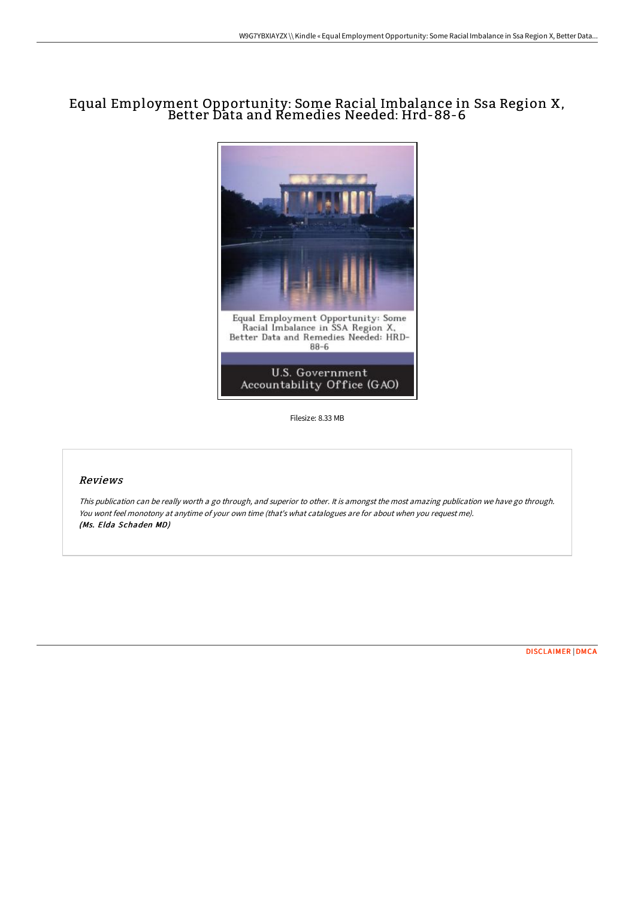## Equal Employment Opportunity: Some Racial Imbalance in Ssa Region X, Better Data and Remedies Needed: Hrd-88-6



Filesize: 8.33 MB

## Reviews

This publication can be really worth <sup>a</sup> go through, and superior to other. It is amongst the most amazing publication we have go through. You wont feel monotony at anytime of your own time (that's what catalogues are for about when you request me). (Ms. Elda Schaden MD)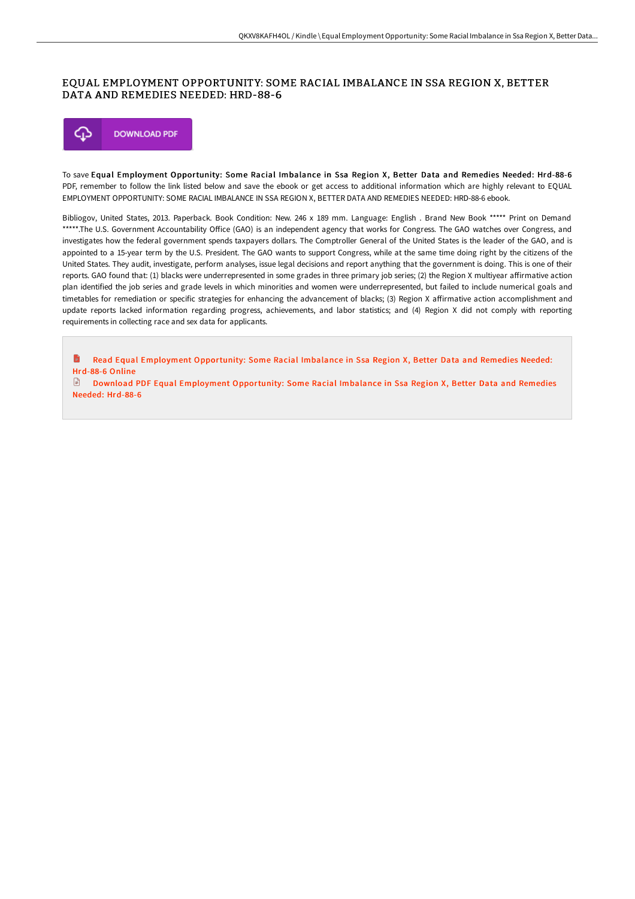## EQUAL EMPLOYMENT OPPORTUNITY: SOME RACIAL IMBALANCE IN SSA REGION X, BETTER DATA AND REMEDIES NEEDED: HRD-88-6



To save Equal Employment Opportunity: Some Racial Imbalance in Ssa Region X, Better Data and Remedies Needed: Hrd-88-6 PDF, remember to follow the link listed below and save the ebook or get access to additional information which are highly relevant to EQUAL EMPLOYMENT OPPORTUNITY: SOME RACIAL IMBALANCE IN SSA REGION X, BETTER DATA AND REMEDIES NEEDED: HRD-88-6 ebook.

Bibliogov, United States, 2013. Paperback. Book Condition: New. 246 x 189 mm. Language: English . Brand New Book \*\*\*\*\* Print on Demand \*\*\*\*\*.The U.S. Government Accountability Office (GAO) is an independent agency that works for Congress. The GAO watches over Congress, and investigates how the federal government spends taxpayers dollars. The Comptroller General of the United States is the leader of the GAO, and is appointed to a 15-year term by the U.S. President. The GAO wants to support Congress, while at the same time doing right by the citizens of the United States. They audit, investigate, perform analyses, issue legal decisions and report anything that the government is doing. This is one of their reports. GAO found that: (1) blacks were underrepresented in some grades in three primary job series; (2) the Region X multiyear affirmative action plan identified the job series and grade levels in which minorities and women were underrepresented, but failed to include numerical goals and timetables for remediation or specific strategies for enhancing the advancement of blacks; (3) Region X affirmative action accomplishment and update reports lacked information regarding progress, achievements, and labor statistics; and (4) Region X did not comply with reporting requirements in collecting race and sex data for applicants.

Read Equal Employment [Opportunity:](http://albedo.media/equal-employment-opportunity-some-racial-imbalan.html) Some Racial Imbalance in Ssa Region X, Better Data and Remedies Needed: B Hrd-88-6 Online

 $\mathbb{R}$ Download PDF Equal Employment [Opportunity:](http://albedo.media/equal-employment-opportunity-some-racial-imbalan.html) Some Racial Imbalance in Ssa Region X, Better Data and Remedies Needed: Hrd-88-6